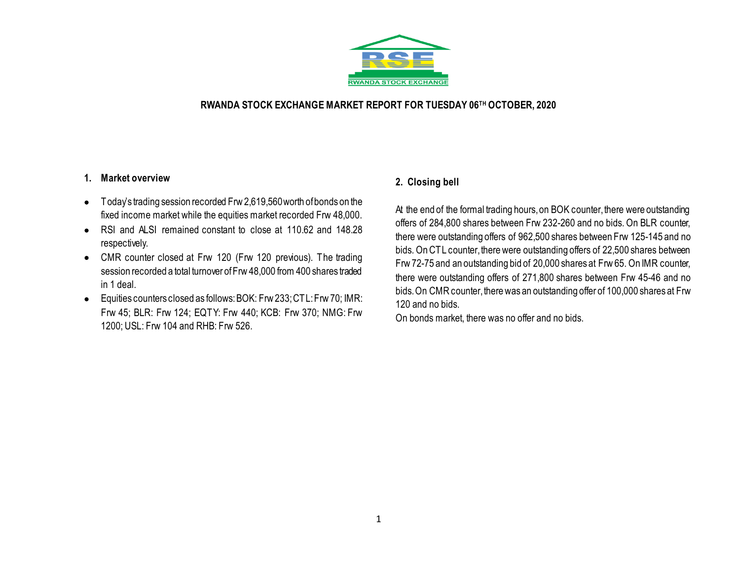

### **RWANDA STOCK EXCHANGE MARKET REPORT FOR TUESDAY 06TH OCTOBER, 2020**

### **1. Market overview**

- Today's trading session recorded Frw 2,619,560 worth of bonds on the fixed income market while the equities market recorded Frw 48,000.
- RSI and ALSI remained constant to close at 110.62 and 148.28 respectively.
- CMR counter closed at Frw 120 (Frw 120 previous). The trading session recorded a total turnover of Frw 48,000 from 400 shares traded in 1 deal.
- Equities counters closed as follows:BOK: Frw 233; CTL: Frw 70; IMR: Frw 45; BLR: Frw 124; EQTY: Frw 440; KCB: Frw 370; NMG: Frw 1200; USL: Frw 104 and RHB: Frw 526.

## **2. Closing bell**

At the end of the formal trading hours, on BOK counter, there were outstanding offers of 284,800 shares between Frw 232-260 and no bids. On BLR counter, there were outstanding offers of 962,500 shares between Frw 125-145 and no bids. On CTL counter, there were outstanding offers of 22,500 shares between Frw72-75 and an outstanding bid of 20,000 shares at Frw 65. On IMR counter, there were outstanding offers of 271,800 shares between Frw 45-46 and no bids. On CMRcounter, there was an outstanding offer of 100,000 shares at Frw 120 and no bids.

On bonds market, there was no offer and no bids.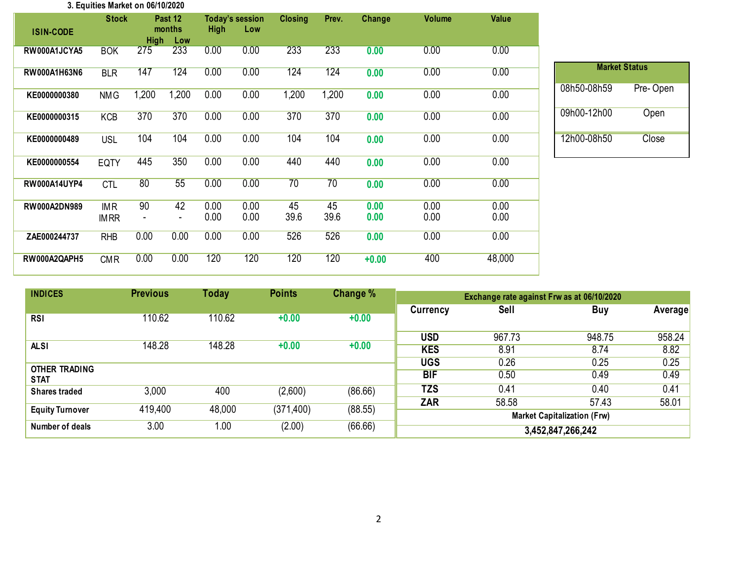#### **3. Equities Market on 06/10/2020**

| <b>ISIN-CODE</b>    | <b>Stock</b>              | <b>High</b>                    | Past 12<br>months<br>Low       | <b>High</b>  | <b>Today's session</b><br>Low | <b>Closing</b>  | Prev.      | Change       | <b>Volume</b> | <b>Value</b> |
|---------------------|---------------------------|--------------------------------|--------------------------------|--------------|-------------------------------|-----------------|------------|--------------|---------------|--------------|
| RW000A1JCYA5        | <b>BOK</b>                | 275                            | 233                            | 0.00         | 0.00                          | 233             | 233        | 0.00         | 0.00          | 0.00         |
| RW000A1H63N6        | <b>BLR</b>                | 147                            | 124                            | 0.00         | 0.00                          | 124             | 124        | 0.00         | 0.00          | 0.00         |
| KE0000000380        | <b>NMG</b>                | 1,200                          | 1,200                          | 0.00         | 0.00                          | 1,200           | 1,200      | 0.00         | 0.00          | 0.00         |
| KE0000000315        | <b>KCB</b>                | 370                            | 370                            | 0.00         | 0.00                          | 370             | 370        | 0.00         | 0.00          | 0.00         |
| KE0000000489        | <b>USL</b>                | 104                            | 104                            | 0.00         | 0.00                          | 104             | 104        | 0.00         | 0.00          | 0.00         |
| KE0000000554        | EQTY                      | 445                            | 350                            | 0.00         | 0.00                          | 440             | 440        | 0.00         | 0.00          | 0.00         |
| <b>RW000A14UYP4</b> | <b>CTL</b>                | 80                             | 55                             | 0.00         | 0.00                          | $\overline{70}$ | 70         | 0.00         | 0.00          | 0.00         |
| <b>RW000A2DN989</b> | <b>IMR</b><br><b>IMRR</b> | 90<br>$\overline{\phantom{a}}$ | 42<br>$\overline{\phantom{a}}$ | 0.00<br>0.00 | 0.00<br>0.00                  | 45<br>39.6      | 45<br>39.6 | 0.00<br>0.00 | 0.00<br>0.00  | 0.00<br>0.00 |
| ZAE000244737        | <b>RHB</b>                | 0.00                           | 0.00                           | 0.00         | 0.00                          | 526             | 526        | 0.00         | 0.00          | 0.00         |
| RW000A2QAPH5        | <b>CMR</b>                | 0.00                           | 0.00                           | 120          | 120                           | 120             | 120        | $+0.00$      | 400           | 48,000       |

| <b>Market Status</b> |          |  |  |  |  |  |  |  |
|----------------------|----------|--|--|--|--|--|--|--|
| 08h50-08h59          | Pre-Open |  |  |  |  |  |  |  |
| 09h00-12h00          | Open     |  |  |  |  |  |  |  |
| 12h00-08h50          | Close    |  |  |  |  |  |  |  |

| <b>INDICES</b>         | <b>Previous</b> | <b>Today</b> | <b>Points</b> | Change % | Exchange rate against Frw as at 06/10/2020 |        |                   |                |  |
|------------------------|-----------------|--------------|---------------|----------|--------------------------------------------|--------|-------------------|----------------|--|
|                        |                 |              |               |          | <b>Currency</b>                            | Sell   | <b>Buy</b>        | <b>Average</b> |  |
| <b>RSI</b>             | 110.62          | 110.62       | $+0.00$       | $+0.00$  |                                            |        |                   |                |  |
|                        |                 |              |               |          | <b>USD</b>                                 | 967.73 | 948.75            | 958.24         |  |
| <b>ALSI</b>            | 148.28          | 148.28       | $+0.00$       | $+0.00$  | <b>KES</b>                                 | 8.91   | 8.74              | 8.82           |  |
| <b>OTHER TRADING</b>   |                 |              |               |          | <b>UGS</b>                                 | 0.26   | 0.25              | 0.25           |  |
| <b>STAT</b>            |                 |              |               |          | <b>BIF</b>                                 | 0.50   | 0.49              | 0.49           |  |
| <b>Shares traded</b>   | 3,000           | 400          | (2,600)       | (86.66)  | <b>TZS</b>                                 | 0.41   | 0.40              | 0.41           |  |
|                        |                 |              |               |          | <b>ZAR</b>                                 | 58.58  | 57.43             | 58.01          |  |
| <b>Equity Turnover</b> | 419,400         | 48,000       | (371, 400)    | (88.55)  | <b>Market Capitalization (Frw)</b>         |        |                   |                |  |
| Number of deals        | 3.00            | 1.00         | (2.00)        | (66.66)  |                                            |        | 3,452,847,266,242 |                |  |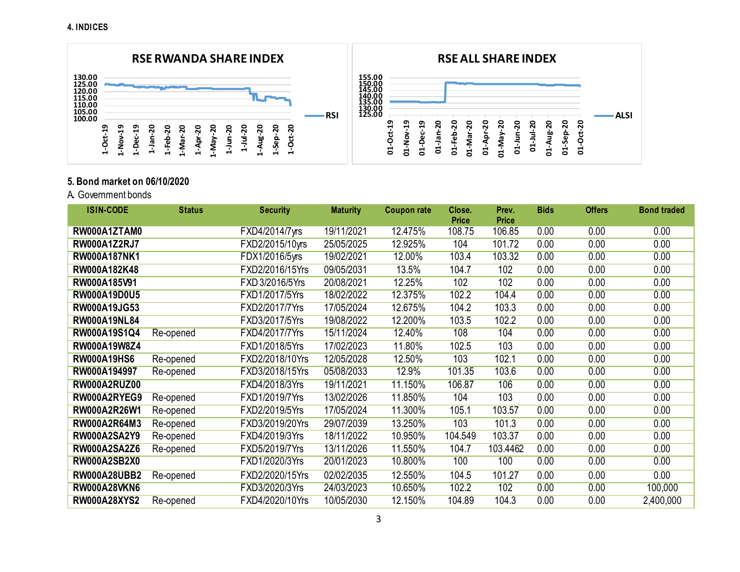

## **5. Bond market on 06/10/2020**

A**.** Government bonds

| <b>ISIN-CODE</b>    | <b>Status</b> | <b>Security</b> | <b>Maturity</b> | <b>Coupon rate</b> | Close.       | Prev.        | <b>Bids</b> | <b>Offers</b> | <b>Bond traded</b> |
|---------------------|---------------|-----------------|-----------------|--------------------|--------------|--------------|-------------|---------------|--------------------|
|                     |               |                 |                 |                    | <b>Price</b> | <b>Price</b> |             |               |                    |
| RW000A1ZTAM0        |               | FXD4/2014/7yrs  | 19/11/2021      | 12.475%            | 108.75       | 106.85       | 0.00        | 0.00          | 0.00               |
| <b>RW000A1Z2RJ7</b> |               | FXD2/2015/10yrs | 25/05/2025      | 12.925%            | 104          | 101.72       | 0.00        | 0.00          | 0.00               |
| <b>RW000A187NK1</b> |               | FDX1/2016/5yrs  | 19/02/2021      | 12.00%             | 103.4        | 103.32       | 0.00        | 0.00          | 0.00               |
| RW000A182K48        |               | FXD2/2016/15Yrs | 09/05/2031      | 13.5%              | 104.7        | 102          | 0.00        | 0.00          | 0.00               |
| RW000A185V91        |               | FXD 3/2016/5Yrs | 20/08/2021      | 12.25%             | 102          | 102          | 0.00        | 0.00          | 0.00               |
| RW000A19D0U5        |               | FXD1/2017/5Yrs  | 18/02/2022      | 12.375%            | 102.2        | 104.4        | 0.00        | 0.00          | 0.00               |
| RW000A19JG53        |               | FXD2/2017/7Yrs  | 17/05/2024      | 12.675%            | 104.2        | 103.3        | 0.00        | 0.00          | 0.00               |
| <b>RW000A19NL84</b> |               | FXD3/2017/5Yrs  | 19/08/2022      | 12.200%            | 103.5        | 102.2        | 0.00        | 0.00          | 0.00               |
| RW000A19S1Q4        | Re-opened     | FXD4/2017/7Yrs  | 15/11/2024      | 12.40%             | 108          | 104          | 0.00        | 0.00          | 0.00               |
| RW000A19W8Z4        |               | FXD1/2018/5Yrs  | 17/02/2023      | 11.80%             | 102.5        | 103          | 0.00        | 0.00          | 0.00               |
| <b>RW000A19HS6</b>  | Re-opened     | FXD2/2018/10Yrs | 12/05/2028      | 12.50%             | 103          | 102.1        | 0.00        | 0.00          | 0.00               |
| RW000A194997        | Re-opened     | FXD3/2018/15Yrs | 05/08/2033      | 12.9%              | 101.35       | 103.6        | 0.00        | 0.00          | 0.00               |
| RW000A2RUZ00        |               | FXD4/2018/3Yrs  | 19/11/2021      | 11.150%            | 106.87       | 106          | 0.00        | 0.00          | 0.00               |
| RW000A2RYEG9        | Re-opened     | FXD1/2019/7Yrs  | 13/02/2026      | 11.850%            | 104          | 103          | 0.00        | 0.00          | 0.00               |
| RW000A2R26W1        | Re-opened     | FXD2/2019/5Yrs  | 17/05/2024      | 11.300%            | 105.1        | 103.57       | 0.00        | 0.00          | 0.00               |
| RW000A2R64M3        | Re-opened     | FXD3/2019/20Yrs | 29/07/2039      | 13.250%            | 103          | 101.3        | 0.00        | 0.00          | 0.00               |
| <b>RW000A2SA2Y9</b> | Re-opened     | FXD4/2019/3Yrs  | 18/11/2022      | 10.950%            | 104.549      | 103.37       | 0.00        | 0.00          | 0.00               |
| <b>RW000A2SA2Z6</b> | Re-opened     | FXD5/2019/7Yrs  | 13/11/2026      | 11.550%            | 104.7        | 103.4462     | 0.00        | 0.00          | 0.00               |
| <b>RW000A2SB2X0</b> |               | FXD1/2020/3Yrs  | 20/01/2023      | 10.800%            | 100          | 100          | 0.00        | 0.00          | 0.00               |
| <b>RW000A28UBB2</b> | Re-opened     | FXD2/2020/15Yrs | 02/02/2035      | 12.550%            | 104.5        | 101.27       | 0.00        | 0.00          | 0.00               |
| <b>RW000A28VKN6</b> |               | FXD3/2020/3Yrs  | 24/03/2023      | 10.650%            | 102.2        | 102          | 0.00        | 0.00          | 100,000            |
| <b>RW000A28XYS2</b> | Re-opened     | FXD4/2020/10Yrs | 10/05/2030      | 12.150%            | 104.89       | 104.3        | 0.00        | 0.00          | 2,400,000          |